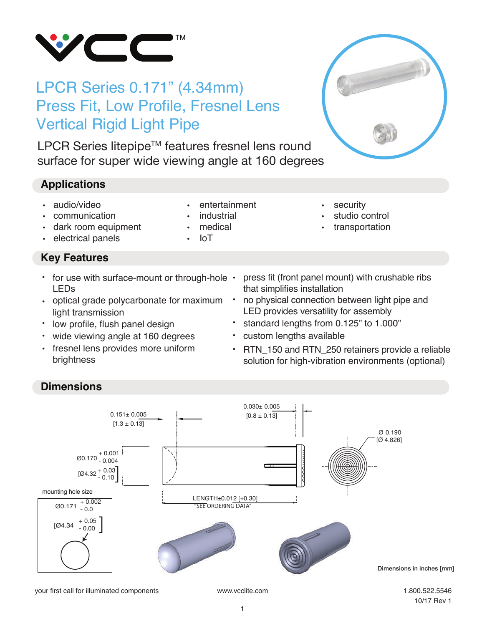

# LPCR Series 0.171" (4.34mm) Press Fit, Low Profile, Fresnel Lens Vertical Rigid Light Pipe

LPCR Series litepipe™ features fresnel lens round surface for super wide viewing angle at 160 degrees

# **Applications**

- audio/video
- communication
- dark room equipment
- electrical panels

# **Key Features**

- for use with surface-mount or through-hole LEDs
- optical grade polycarbonate for maximum light transmission
- low profile, flush panel design
- wide viewing angle at 160 degrees •
- fresnel lens provides more uniform brightness
- entertainment
- industrial
- medical
- $I_{\text{O}}$
- security
- studio control
- transportation
- press fit (front panel mount) with crushable ribs that simplifies installation
- no physical connection between light pipe and LED provides versatility for assembly •
- standard lengths from 0.125" to 1.000"
- custom lengths available
- RTN 150 and RTN 250 retainers provide a reliable solution for high-vibration environments (optional) •